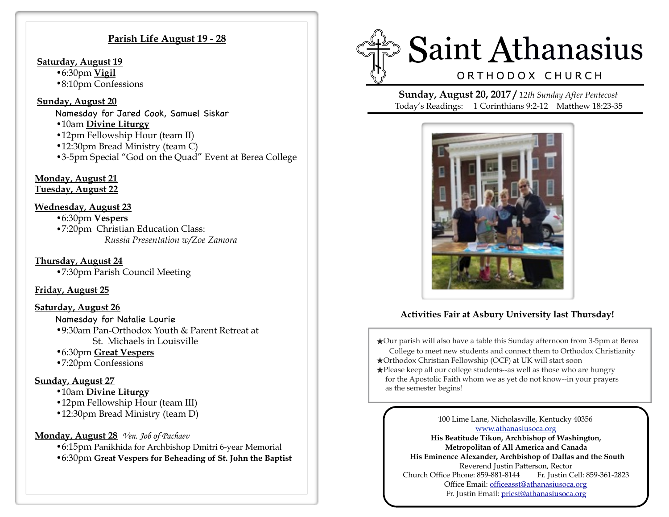#### **Parish Life August 19 - 28**

#### **Saturday, August 19**

- •6:30pm **Vigil**
- •8:10pm Confessions

#### **Sunday, August 20**

- Namesday for Jared Cook, Samuel Siskar
- •10am **Divine Liturgy**
- •12pm Fellowship Hour (team II)
- •12:30pm Bread Ministry (team C)
- •3-5pm Special "God on the Quad" Event at Berea College

# **Monday, August 21**

**Tuesday, August 22** 

### **Wednesday, August 23**

•6:30pm **Vespers**  •7:20pm Christian Education Class: *Russia Presentation w/Zoe Zamora*

 **Thursday, August 24**  •7:30pm Parish Council Meeting

## **Friday, August 25**

### **Saturday, August 26**

- Namesday for Natalie Lourie •9:30am Pan-Orthodox Youth & Parent Retreat at St. Michaels in Louisville
- •6:30pm **Great Vespers**
- •7:20pm Confessions

## **Sunday, August 27**

- •10am **Divine Liturgy**
- •12pm Fellowship Hour (team III)
- •12:30pm Bread Ministry (team D)

### **Monday, August 28** *Ven. Job of Pachaev*

•6:15pm Panikhida for Archbishop Dmitri 6-year Memorial •6:30pm **Great Vespers for Beheading of St. John the Baptist** 



**Sunday, August 20, 2017 /** *12th Sunday After Pentecost*  Today's Readings: 1 Corinthians 9:2-12 Matthew 18:23-35



# **Activities Fair at Asbury University last Thursday!**

- ★Our parish will also have a table this Sunday afternoon from 3-5pm at Berea College to meet new students and connect them to Orthodox Christianity ★Orthodox Christian Fellowship (OCF) at UK will start soon
- ★Please keep all our college students--as well as those who are hungry for the Apostolic Faith whom we as yet do not know--in your prayers as the semester begins!

100 Lime Lane, Nicholasville, Kentucky 40356 [www.athanasiusoca.org](http://www.athanasiusoca.org) **His Beatitude Tikon, Archbishop of Washington, Metropolitan of All America and Canada His Eminence Alexander, Archbishop of Dallas and the South**  Reverend Justin Patterson, Rector Church Office Phone: 859-881-8144 Fr. Justin Cell: 859-361-2823 Office Email: [officeasst@athanasiusoca.org](mailto:officeasst@athanasiusoca.org)

Fr. Justin Email: [priest@athanasiusoca.org](mailto:priest@athanasiusoca.org)